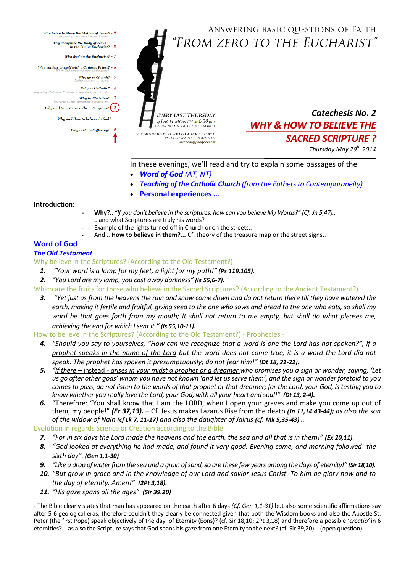ANSWERING BASIC QUESTIONS OF FAITH "FROM ZERO TO THE EUCHARIST"

Why listen to Mary the Mother of Jesus? -  $9$ 

- Why recognize the Body of Jesus<br>in the Living Eucharist? 8.
- Why feed on the Eucharist?  $-7$ .
- Why confess oneself with a Catholic Priest?  $6$ 
	- Why go to Church?  $5$ .

Why be Catholic? -  $4$ specting Orthodox, Protestants

thodox, Protestants, and Jehovah's W., etc.<br>**Why be Christian? - 3.**<br>Respecting Jews, Buddhists, Muslims, etc.

Why and How to trust the S. Scripture? $\left(-2\right)$ 

Why and How to believe in God? -  $1$ 

Why is there Suffering? -  $0$ 

**EVERY LAST THURSDAY** of EACH MONTH at  $6.30$  pm<br>BEGINNING THURSDAY 27<sup>01</sup> OF MARCH **OUR LADY OF THE HOLY ROSARY CATHOLIC CHURCH** 8594 EAST MAIN ST. HOUMA LA. vocations@poorfriars.net

*Catechesis No. 2 WHY & HOW TO BELIEVE THE SACRED SCRIPTURE ?*

*Thursday May 29th 2014*

In these evenings, we'll read and try to explain some passages of the

- *Word of God (AT, NT)*
- *Teaching of the Catholic Church (from the Fathers to Contemporaneity)*
- **Personal experiences …**

### **Introduction:**

- **- Why?..** *"If you don't believe in the scriptures, how can you believe My Words?" (Cf. Jn 5,47)..*  **.**. and what Scriptures are truly his words?
- **-** Example of the lights turned off in Church or on the streets..
- **-** And… **How to believe in them?...** Cf. theory of the treasure map or the street signs..

# **Word of God**

### *The Old Testament*

Why believe in the Scriptures? (According to the Old Testament?)

- *1. "Your word is a lamp for my feet, a light for my path!" (Ps 119,105).*
- *2. "You Lord are my lamp, you cast away darkness" (Is 55,6-7).*

Which are the fruits for those who believe in the Sacred Scriptures? (According to the Ancient Testament?)

*3. "Yet just as from the heavens the rain and snow come down and do not return there till they have watered the earth, making it fertile and fruitful, giving seed to the one who sows and bread to the one who eats, so shall my word be that goes forth from my mouth; It shall not return to me empty, but shall do what pleases me, achieving the end for which I sent it." (Is 55,10-11).*

How to believe in the Scriptures? (According to the Old Testament?) - Prophecies -

- *4. "Should you say to yourselves, "How can we recognize that a word is one the Lord has not spoken?", if a prophet speaks in the name of the Lord but the word does not come true, it is a word the Lord did not speak. The prophet has spoken it presumptuously; do not fear him!" (Dt 18, 21-22).*
- *5. "If there –* instead *- arises in your midst a prophet or a dreamer who promises you a sign or wonder, saying, 'Let us go after other gods' whom you have not known 'and let us serve them', and the sign or wonder foretold to you comes to pass, do not listen to the words of that prophet or that dreamer; for the Lord, your God, is testing you to know whether you really love the Lord, your God, with all your heart and soul!" (Dt 13, 2-4).*
- *6.* "Therefore: "You shall know that I am the LORD, when I open your graves and make you come up out of them, my people!" *(Ez 37,13).* – Cf. Jesus makes Lazarus Rise from the death *(Jn 11,14.43-44); as also the son of the widow of Nain (cf Lk 7, 11-17) and also the daughter of Jairus (cf. Mk 5,35-43)…*

Evolution in regards Science or Creation according to the Bible:

- *7. "For in six days the Lord made the heavens and the earth, the sea and all that is in them!" (Ex 20,11).*
- *8. "God looked at everything he had made, and found it very good. Evening came, and morning followed- the sixth day". (Gen 1,1-30)*
- *9. "Like a drop of water from the sea and a grain of sand, so are these few years among the days of eternity!" (Sir 18,10).*
- *10. "But grow in grace and in the knowledge of our Lord and savior Jesus Christ. To him be glory now and to the day of eternity. Amen!" (2Pt 3,18).*
- *11. "His gaze spans all the ages" (Sir 39.20)*

*-* The Bible clearly states that man has appeared on the earth after 6 days *(Cf. Gen 1,1-31)* but also some scientific affirmations say after 5-6 geological eras; therefore couldn't they clearly be connected given that both the Wisdom books and also the Apostle St. Peter (the first Pope) speak objectively of the day of Eternity (Eons)? (cf. Sir 18,10; 2Pt 3,18) and therefore a possible '*creatio'* in 6 eternities?... as also the Scripture says that God spans his gaze from one Eternity to the next? (cf. Sir 39,20)... (open question)...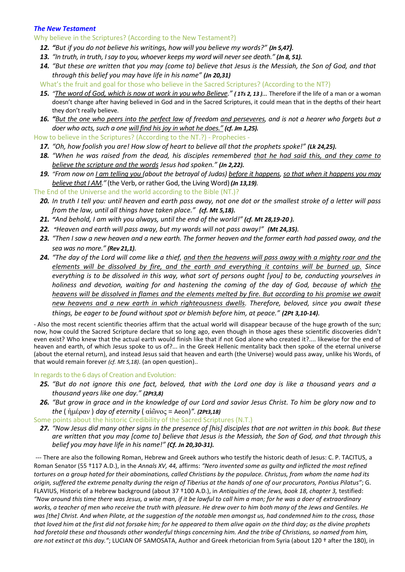### *The New Testament*

Why believe in the Scriptures? (According to the New Testament?)

- *12. "But if you do not believe his writings, how will you believe my words?" (Jn 5,47).*
- *13. "In truth, in truth, I say to you, whoever keeps my word will never see death." (Jn 8, 51).*
- *14. "But these are written that you may (come to) believe that Jesus is the Messiah, the Son of God, and that through this belief you may have life in his name" (Jn 20,31)*
- What's the fruit and goal for those who believe in the Sacred Scriptures? (According to the NT?)
- *15. "The word of God, which is now at work in you who Believe." ( 1Ts 2, 13 )…* Therefore if the life of a man or a woman doesn't change after having believed in God and in the Sacred Scriptures, it could mean that in the depths of their heart they don't really believe.
- *16. "But the one who peers into the perfect law of freedom and perseveres, and is not a hearer who forgets but a doer who acts, such a one will find his joy in what he does." (cf. Jm 1,25).*

How to believe in the Scriptures? (According to the NT.?) - Prophecies -

- *17. "Oh, how foolish you are! How slow of heart to believe all that the prophets spoke!" (Lk 24,25).*
- *18. "When he was raised from the dead, his disciples remembered that he had said this, and they came to believe the scripture and the words Jesus had spoken." (Jn 2,22).*
- *19. "From now on I am telling you (about the betrayal of Judas) before it happens, so that when it happens you may believe that I AM."* (the Verb, or rather God, the Living Word) *(Jn 13,19).*
- The End of the Universe and the world according to the Bible (NT.)?
	- *20. In truth I tell you: until heaven and earth pass away, not one dot or the smallest stroke of a letter will pass from the law, until all things have taken place." (cf. Mt 5,18).*
	- *21. "And behold, I am with you always, until the end of the world!" (cf. Mt 28,19-20 ).*
	- *22. "Heaven and earth will pass away, but my words will not pass away!" (Mt 24,35).*
	- *23. "Then I saw a new heaven and a new earth. The former heaven and the former earth had passed away, and the sea was no more." (Rev 21,1).*
	- *24. "The day of the Lord will come like a thief, and then the heavens will pass away with a mighty roar and the elements will be dissolved by fire, and the earth and everything it contains will be burned up. Since everything is to be dissolved in this way, what sort of persons ought [you] to be, conducting yourselves in holiness and devotion, waiting for and hastening the coming of the day of God, because of which the heavens will be dissolved in flames and the elements melted by fire. But according to his promise we await new heavens and a new earth in which righteousness dwells. Therefore, beloved, since you await these things, be eager to be found without spot or blemish before him, at peace." (2Pt 3,10-14).*

- Also the most recent scientific theories affirm that the actual world will disappear because of the huge growth of the sun; now, how could the Sacred Scripture declare that so long ago, even though in those ages these scientific discoveries didn't even exist? Who knew that the actual earth would finish like that if not God alone who created it?.... likewise for the end of heaven and earth, of which Jesus spoke to us of?... in the Greek Hellenic mentality back then spoke of the eternal universe (about the eternal return), and instead Jesus said that heaven and earth (the Universe) would pass away, unlike his Words, of that would remain forever *(cf. Mt 5,18)*. (an open question)..

In regards to the 6 days of Creation and Evolution:

- *25. "But do not ignore this one fact, beloved, that with the Lord one day is like a thousand years and a thousand years like one day." (2Pt3,8)*
- *26. "But grow in grace and in the knowledge of our Lord and savior Jesus Christ. To him be glory now and to the* ( ἡμέραν ) *day of eternity* ( αἰῶνος = Aeon)*". (2Pt3,18)*

Some points about the historic Credibility of the Sacred Scriptures (N.T.)

*27. "Now Jesus did many other signs in the presence of [his] disciples that are not written in this book. But these are written that you may [come to] believe that Jesus is the Messiah, the Son of God, and that through this belief you may have life in his name!" (Cf. Jn 20,30-31).*

--- There are also the following Roman, Hebrew and Greek authors who testify the historic death of Jesus: C. P. TACITUS, a Roman Senator (55 †117 A.D.), in the *Annals XV, 44,* affirms: *"Nero invented some as guilty and inflicted the most refined tortures on a group hated for their abominations, called Christians by the populace. Christus, from whom the name had its origin, suffered the extreme penalty during the reign of Tiberius at the hands of one of our procurators, Pontius Pilatus"*; G. FLAVIUS, Historic of a Hebrew background (about 37 †100 A.D.), in *Antiquities of the Jews, book 18, chapter 3,* testified: *"Now around this time there was Jesus, a wise man, if it be lawful to call him a man; for he was a doer of extraordinary works, a teacher of men who receive the truth with pleasure. He drew over to him both many of the Jews and Gentiles. He was [the] Christ. And when Pilate, at the suggestion of the notable men amongst us, had condemned him to the cross, those that loved him at the first did not forsake him; for he appeared to them alive again on the third day; as the divine prophets had foretold these and thousands other wonderful things concerning him. And the tribe of Christians, so named from him, are not extinct at this day."*; LUCIAN OF SAMOSATA, Author and Greek rhetorician from Syria (about 120 † after the 180), in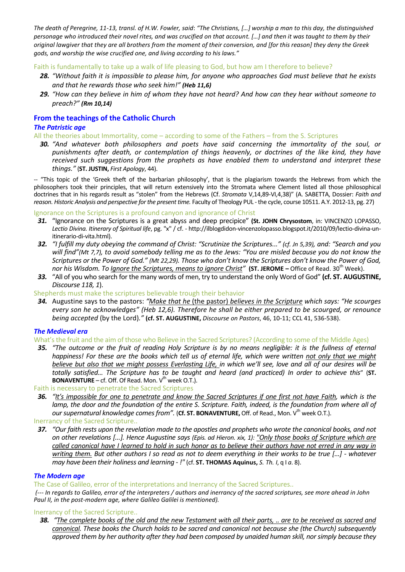*The death of Peregrine, 11-13, transl. of H.W. Fowler, said*: *"The Christians, […] worship a man to this day, the distinguished personage who introduced their novel rites, and was crucified on that account. […] and then it was taught to them by their original lawgiver that they are all brothers from the moment of their conversion, and [for this reason] they deny the Greek gods, and worship the wise crucified one, and living according to his laws."*

Faith is fundamentally to take up a walk of life pleasing to God, but how am I therefore to believe?

- *28. "Without faith it is impossible to please him, for anyone who approaches God must believe that he exists and that he rewards those who seek him!" (Heb 11,6)*
- *29. "How can they believe in him of whom they have not heard? And how can they hear without someone to preach?" (Rm 10,14)*

## **From the teachings of the Catholic Church**

### *The Patristic age*

All the theories about Immortality, come – according to some of the Fathers – from the S. Scriptures

*30. "And whatever both philosophers and poets have said concerning the immortality of the soul, or punishments after death, or contemplation of things heavenly, or doctrines of the like kind, they have received such suggestions from the prophets as have enabled them to understand and interpret these things."* (**ST. JUSTIN,** *First Apology*, 44).

-- "This topic of the 'Greek theft of the barbarian philosophy', that is the plagiarism towards the Hebrews from which the philosophers took their principles, that will return extensively into the Stromata where Clement listed all those philosophical doctrines that in his regards result as "stolen" from the Hebrews (Cf. *Stromata* V,14,89-VI,4,38)" (A. SABETTA, Dossier: *Faith and reason. Historic Analysis and perspective for the present time.* Faculty of Theology PUL -the cycle, course 10511. A.Y. 2012-13, pg. 27)

Ignorance on the Scriptures is a profound canyon and ignorance of Christ

- *31.* "Ignorance on the Scriptures is a great abyss and deep precipice" **(St. JOHN Chrysostom**, in: VINCENZO LOPASSO, *Lectio Divina. Itinerary of Spiritual life*, pg. "x" / cf. - [http://ilblogdidon-vincenzolopasso.blogspot.it/2010/09/lectio-divina-un](http://ilblogdidon-vincenzolopasso.blogspot.it/2010/09/lectio-divina-un-itinerario-di-vita.html)[itinerario-di-vita.html\)](http://ilblogdidon-vincenzolopasso.blogspot.it/2010/09/lectio-divina-un-itinerario-di-vita.html).
- *32. "I fulfill my duty obeying the command of Christ: "Scrutinize the Scriptures..." (cf. Jn 5,39), and: "Search and you will find"(Mt 7,7), to avoid somebody telling me as to the Jews: "You are misled because you do not know the Scriptures or the Power of God." (Mt 22,29). Those who don't know the Scriptures don't know the Power of God, nor his Wisdom. To Ignore the Scriptures, means to ignore Christ"* **(ST. JEROME –** Office of Read. 30th Week).
- *33.* "All of you who search for the many words of men, try to understand the only Word of God" **(cf. ST. AUGUSTINE,**  *Discourse 118, 1*).

Shepherds must make the scriptures believable trough their behavior

*34.* Augustine says to the pastors: *"Make that he* (the pastor) *believes in the Scripture which says: "He scourges every son he acknowledges" (Heb 12,6). Therefore he shall be either prepared to be scourged, or renounce being accepted* (by the Lord)*."* **(cf. ST. AUGUSTINE,** *Discourse on Pastors*, 46, 10-11; CCL 41, 536-538).

### *The Medieval era*

What's the fruit and the aim of those who Believe in the Sacred Scriptures? (According to some of the Middle Ages)

- *35. "The outcome or the fruit of reading Holy Scripture is by no means negligible: it is the fullness of eternal happiness! For these are the books which tell us of eternal life, which were written not only that we might believe but also that we might possess Everlasting Life, in which we'll see, love and all of our desires will be totally satisfied… The Scripture has to be taught and heard (and practiced) In order to achieve this*" (**ST. BONAVENTURE** – cf. Off. Of Read. Mon.  $V^{\text{th}}$  week O.T.).
- Faith is necessary to penetrate the Sacred Scriptures
- *36. "It's impossible for one to penetrate and know the Sacred Scriptures if one first not have Faith, which is the lamp, the door and the foundation of the entire S. Scripture. Faith, indeed, is the foundation from where all of our supernatural knowledge comes from"*. (Cf. ST. BONAVENTURE, Off. of Read., Mon. V<sup>th</sup> week O.T.).

Inerrancy of the Sacred Scripture..

*37. "Our faith rests upon the revelation made to the apostles and prophets who wrote the canonical books, and not on other revelations [...]. Hence Augustine says (Epis. ad Hieron. xix, 1): "Only those books of Scripture which are called canonical have I learned to hold in such honor as to believe their authors have not erred in any way in writing them. But other authors I so read as not to deem everything in their works to be true [...] - whatever may have been their holiness and learning - !"* (cf. **ST. THOMAS Aquinus,** *S. Th. I*, q I *a*. 8).

### *The Modern age*

The Case of Galileo, error of the interpretations and Inerrancy of the Sacred Scriptures..

*(--- In regards to Galileo, error of the interpreters / authors and inerrancy of the sacred scriptures, see more ahead in John Paul II, in the post-modern age, where Galileo Galilei is mentioned).*

#### Inerrancy of the Sacred Scripture..

*38. "The complete books of the old and the new Testament with all their parts, .. are to be received as sacred and canonical. These books the Church holds to be sacred and canonical not because she (the Church) subsequently approved them by her authority after they had been composed by unaided human skill, nor simply because they*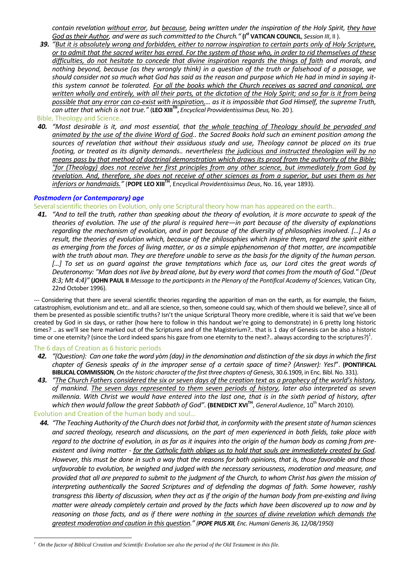*contain revelation without error, but because, being written under the inspiration of the Holy Spirit, they have God as their Author, and were as such committed to the Church."* **(I st VATICAN COUNCIL**, *Session III*, II ).

*39. "But it is absolutely wrong and forbidden, either to narrow inspiration to certain parts only of Holy Scripture, or to admit that the sacred writer has erred. For the system of those who, in order to rid themselves of these difficulties, do not hesitate to concede that divine inspiration regards the things of faith and morals, and nothing beyond, because (as they wrongly think) in a question of the truth or falsehood of a passage, we should consider not so much what God has said as the reason and purpose which He had in mind in saying itthis system cannot be tolerated. For all the books which the Church receives as sacred and canonical, are written wholly and entirely, with all their parts, at the dictation of the Holy Spirit; and so far is it from being possible that any error can co-exist with inspiration,… as it is impossible that God Himself, the supreme Truth, can utter that which is not true."* (**LEO XIIITH ,** *Encyclical Provvidentissimus Deus,* No. 20 ).

Bible, Theology and Science..

*40. "Most desirable is it, and most essential, that the whole teaching of Theology should be pervaded and animated by the use of the divine Word of God.. the Sacred Books hold such an eminent position among the sources of revelation that without their assiduous study and use, Theology cannot be placed on its true footing, or treated as its dignity demands.. nevertheless the judicious and instructed theologian will by no means pass by that method of doctrinal demonstration which draws its proof from the authority of the Bible; "for (Theology) does not receive her first principles from any other science, but immediately from God by revelation. And, therefore, she does not receive of other sciences as from a superior, but uses them as her inferiors or handmaids."* (**POPE LEO XIIITH**, Encyclical *Providentissimus Deus*, No. 16, year 1893).

#### *Postmodern (or Contemporary) age*

#### Several scientific theories on Evolution, only one Scriptural theory how man has appeared on the earth..

*41. "And to tell the truth, rather than speaking about the theory of evolution, it is more accurate to speak of the theories of evolution. The use of the plural is required here—in part because of the diversity of explanations regarding the mechanism of evolution, and in part because of the diversity of philosophies involved. […] As a result, the theories of evolution which, because of the philosophies which inspire them, regard the spirit either as emerging from the forces of living matter, or as a simple epiphenomenon of that matter, are incompatible*  with the truth about man. They are therefore unable to serve as the basis for the dignity of the human person. [...] To set us on guard against the grave temptations which face us, our Lord cites the great words of *Deuteronomy: "Man does not live by bread alone, but by every word that comes from the mouth of God." (Deut 8:3; Mt 4:4)"* **(JOHN PAUL II** *Message to the participants in the Plenary of the Pontifical Academy of Sciences*, Vatican City, 22nd October 1996).

*---* Considering that there are several scientific theories regarding the apparition of man on the earth, as for example, the fixism, catastrophism, evolutionism and etc.. and all are science, so then, someone could say, which of them should we believe?, since all of them be presented as possible scientific truths? Isn't the unique Scriptural Theory more credible, where it is said that we've been created by God in six days, or rather (how here to follow in this handout we're going to demonstrate) in 6 pretty long historic times? .. as we'll see here marked out of the Scriptures and of the Magisterium?.. that is 1 day of Genesis can be also a historic time or one eternity? (since the Lord indeed spans his gaze from one eternity to the next?.. always according to the scriptures?)<sup>1</sup>.

#### The 6 days of Creation as 6 historic periods

- *42. "(Question): Can one take the word yòm (day) in the denomination and distinction of the six daysin which the first chapter of Genesis speaks of in the improper sense of a certain space of time? (Answer): Yes!*". **(PONTIFICAL BIBLICAL COMMISSION**, *On the historic character of the first three chapters of Genesis*, 30.6.1909, in Enc. Bibl. No. 331).
- *43. "The Church Fathers considered the six or seven days of the creation text as a prophecy of the world's history, of mankind. The seven days represented to them seven periods of history, later also interpreted as seven millennia. With Christ we would have entered into the last one, that is in the sixth period of history, after which then would follow the great Sabbath of God".* **(BENEDICT XVITH** , *General Audience*, 10th March 2010).

Evolution and Creation of the human body and soul…

*44. "The Teaching Authority of the Church does not forbid that, in conformity with the present state of human sciences and sacred theology, research and discussions, on the part of men experienced in both fields, take place with regard to the doctrine of evolution, in as far as it inquires into the origin of the human body as coming from preexistent and living matter - for the Catholic faith obliges us to hold that souls are immediately created by God. However, this must be done in such a way that the reasons for both opinions, that is, those favorable and those unfavorable to evolution, be weighed and judged with the necessary seriousness, moderation and measure, and provided that all are prepared to submit to the judgment of the Church, to whom Christ has given the mission of interpreting authentically the Sacred Scriptures and of defending the dogmas of faith. Some however, rashly transgress this liberty of discussion, when they act as if the origin of the human body from pre-existing and living matter were already completely certain and proved by the facts which have been discovered up to now and by reasoning on those facts, and as if there were nothing in the sources of divine revelation which demands the greatest moderation and caution in this question." (POPE PIUS XII, Enc. Humani Generis 36, 12/08/1950)*

 $\overline{a}$ *1 On the factor of Biblical Creation and Scientific Evolution see also the period of the Old Testament in this file.*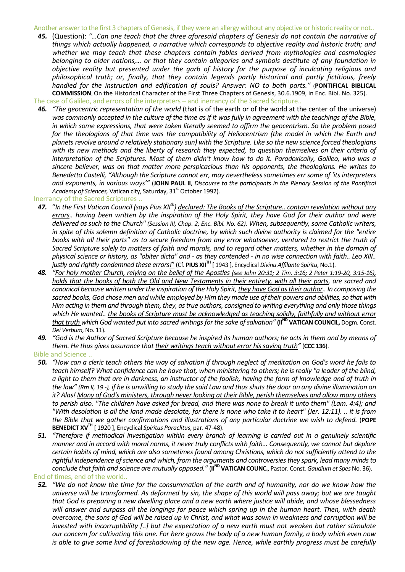Another answer to the first 3 chapters of Genesis, if they were an allergy without any objective or historic reality or not..

*45.* (Question): *"…Can one teach that the three aforesaid chapters of Genesis do not contain the narrative of things which actually happened, a narrative which corresponds to objective reality and historic truth; and whether we may teach that these chapters contain fables derived from mythologies and cosmologies belonging to older nations,… or that they contain allegories and symbols destitute of any foundation in objective reality but presented under the garb of history for the purpose of inculcating religious and philosophical truth; or, finally, that they contain legends partly historical and partly fictitious, freely handled for the instruction and edification of souls? Answer: NO to both parts."* (**PONTIFICAL BIBLICAL COMMISSION**, On the Historical Character of the First Three Chapters of Genesis, 30.6.1909, in Enc. Bibl. No. 325).

The case of Galileo, and errors of the interpreters – and inerrancy of the Sacred Scripture..

*46. "The geocentric representation of the world* (that is of the earth or of the world at the center of the universe) *was commonly accepted in the culture of the time as if it was fully in agreement with the teachings of the Bible, in which some expressions, that were taken literally seemed to affirm the geocentrism. So the problem posed for the theologians of that time was the compatibility of Heliocentrism (the model in which the Earth and planets revolve around a relatively stationary sun) with the Scripture. Like so the new science forced theologians with its new methods and the liberty of research they expected, to question themselves on their criteria of interpretation of the Scriptures. Most of them didn't know how to do it. Paradoxically, Galileo, who was a sincere believer, was on that matter more perspicacious than his opponents, the theologians. He writes to Benedetto Castelli, "Although the Scripture cannot err, may nevertheless sometimes err some of 'its interpreters and exponents, in various ways'"* (**JOHN PAUL II**, *Discourse to the participants in the Plenary Session of the Pontifical*  Academy of Sciences, Vatican city, Saturday, 31<sup>st</sup> October 1992).

Inerrancy of the Sacred Scriptures ..

- *47.* "*In the First Vatican Council (says Pius XIIth) declared: The Books of the Scripture.. contain revelation without any errors.. having been written by the inspiration of the Holy Spirit, they have God for their author and were delivered as such to the Church" (Session III, Chap. 2; Enc. Bibl. No. 62). When, subsequently, some Catholic writers, in spite of this solemn definition of Catholic doctrine, by which such divine authority is claimed for the "entire books with all their parts" as to secure freedom from any error whatsoever, ventured to restrict the truth of Sacred Scripture solely to matters of faith and morals, and to regard other matters, whether in the domain of physical science or history, as "obiter dicta" and - as they contended - in no wise connection with faith.. Leo XIII.. justly and rightly condemned these errors!*" (Cf. **PIUS XIITH** [ 1943 ], Encyclical *Divinu Affilante Spiritu*, No.1).
- **48.** *"For holy mother Church, relying on the belief of the Apostles (see John 20:31; 2 Tim. 3:16; 2 Peter 1:19-20, 3:15-16), holds that the books of both the Old and New Testaments in their entirety, with all their parts, are sacred and canonical because written under the inspiration of the Holy Spirit, they have God as their author.. In composing the sacred books, God chose men and while employed by Him they made use of their powers and abilities, so that with Him acting in them and through them, they, as true authors, consigned to writing everything and only those things which He wanted.. the books of Scripture must be acknowledged as teaching solidly, faithfully and without error that truth which God wanted put into sacred writings for the sake of salvation" (II<sup>ND</sup> VATICAN COUNCIL, Dogm. Const.* Dei Verbum, No. 11).
- *49. "God is the Author of Sacred Scripture because he inspired its human authors; he acts in them and by means of them. He thus gives assurance that their writings teach without error his saving truth"* (**CCC 136**).

Bible and Science ..

- *50. "How can a cleric teach others the way of salvation if through neglect of meditation on God's word he fails to teach himself? What confidence can he have that, when ministering to others; he is really "a leader of the blind, a light to them that are in darkness, an instructor of the foolish, having the form of knowledge and of truth in the law" (Rm II, 19 -), if he is unwilling to study the said Law and thus shuts the door on any divine illumination on it? Alas! Many of God's ministers, through never looking at their Bible, perish themselves and allow many others to perish also. "The children have asked for bread, and there was none to break it unto them" (Lam. 4:4); and "With desolation is all the land made desolate, for there is none who take it to heart" (Jer. 12:11). .. it is from the Bible that we gather confirmations and illustrations of any particular doctrine we wish to defend.* (**POPE BENEDICT XVTH** [ 1920 ], Encyclical *Spiritus Paraclitus*, par. 47-48).
- *51. "Therefore if methodical investigation within every branch of learning is carried out in a genuinely scientific manner and in accord with moral norms, it never truly conflicts with faith… Consequently, we cannot but deplore certain habits of mind, which are also sometimes found among Christians, which do not sufficiently attend to the rightful independence of science and which, from the arguments and controversies they spark, lead many minds to conclude that faith and science are mutually opposed.*<sup>"</sup> (**II<sup>ND</sup> VATICAN COUNC.**, Pastor. Const. *Gaudium et Spes* No. 36). End of times, end of the world..
- *52. "We do not know the time for the consummation of the earth and of humanity, nor do we know how the universe will be transformed. As deformed by sin, the shape of this world will pass away; but we are taught that God is preparing a new dwelling place and a new earth where justice will abide, and whose blessedness will answer and surpass all the longings for peace which spring up in the human heart. Then, with death overcome, the sons of God will be raised up in Christ, and what was sown in weakness and corruption will be invested with incorruptibility [..] but the expectation of a new earth must not weaken but rather stimulate our concern for cultivating this one. For here grows the body of a new human family, a body which even now is able to give some kind of foreshadowing of the new age. Hence, while earthly progress must be carefully*